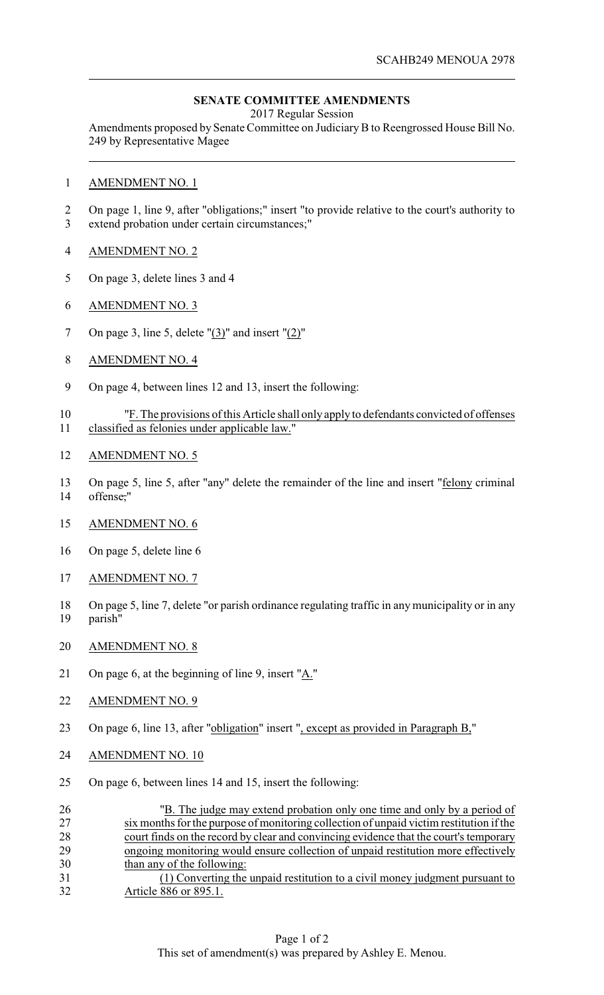## **SENATE COMMITTEE AMENDMENTS**

2017 Regular Session

Amendments proposed by Senate Committee on JudiciaryB to Reengrossed House Bill No. 249 by Representative Magee

- AMENDMENT NO. 1
- On page 1, line 9, after "obligations;" insert "to provide relative to the court's authority to extend probation under certain circumstances;"
- AMENDMENT NO. 2
- On page 3, delete lines 3 and 4
- AMENDMENT NO. 3
- 7 On page 3, line 5, delete  $\frac{1}{3}$  and insert  $\frac{1}{2}$ "
- AMENDMENT NO. 4
- On page 4, between lines 12 and 13, insert the following:
- "F. The provisions of this Article shall only apply to defendants convicted of offenses classified as felonies under applicable law."
- AMENDMENT NO. 5
- 13 On page 5, line 5, after "any" delete the remainder of the line and insert "felony criminal offense,"
- AMENDMENT NO. 6
- On page 5, delete line 6
- AMENDMENT NO. 7
- On page 5, line 7, delete "or parish ordinance regulating traffic in any municipality or in any parish"
- AMENDMENT NO. 8
- On page 6, at the beginning of line 9, insert "A."
- 22 AMENDMENT NO. 9
- On page 6, line 13, after "obligation" insert ", except as provided in Paragraph B,"
- AMENDMENT NO. 10
- On page 6, between lines 14 and 15, insert the following:

| 26 | "B. The judge may extend probation only one time and only by a period of                |
|----|-----------------------------------------------------------------------------------------|
| 27 | six months for the purpose of monitoring collection of unpaid victim restitution if the |
| 28 | court finds on the record by clear and convincing evidence that the court's temporary   |
| 29 | ongoing monitoring would ensure collection of unpaid restitution more effectively       |
| 30 | than any of the following:                                                              |
| 31 | (1) Converting the unpaid restitution to a civil money judgment pursuant to             |
| 32 | Article 886 or 895.1.                                                                   |